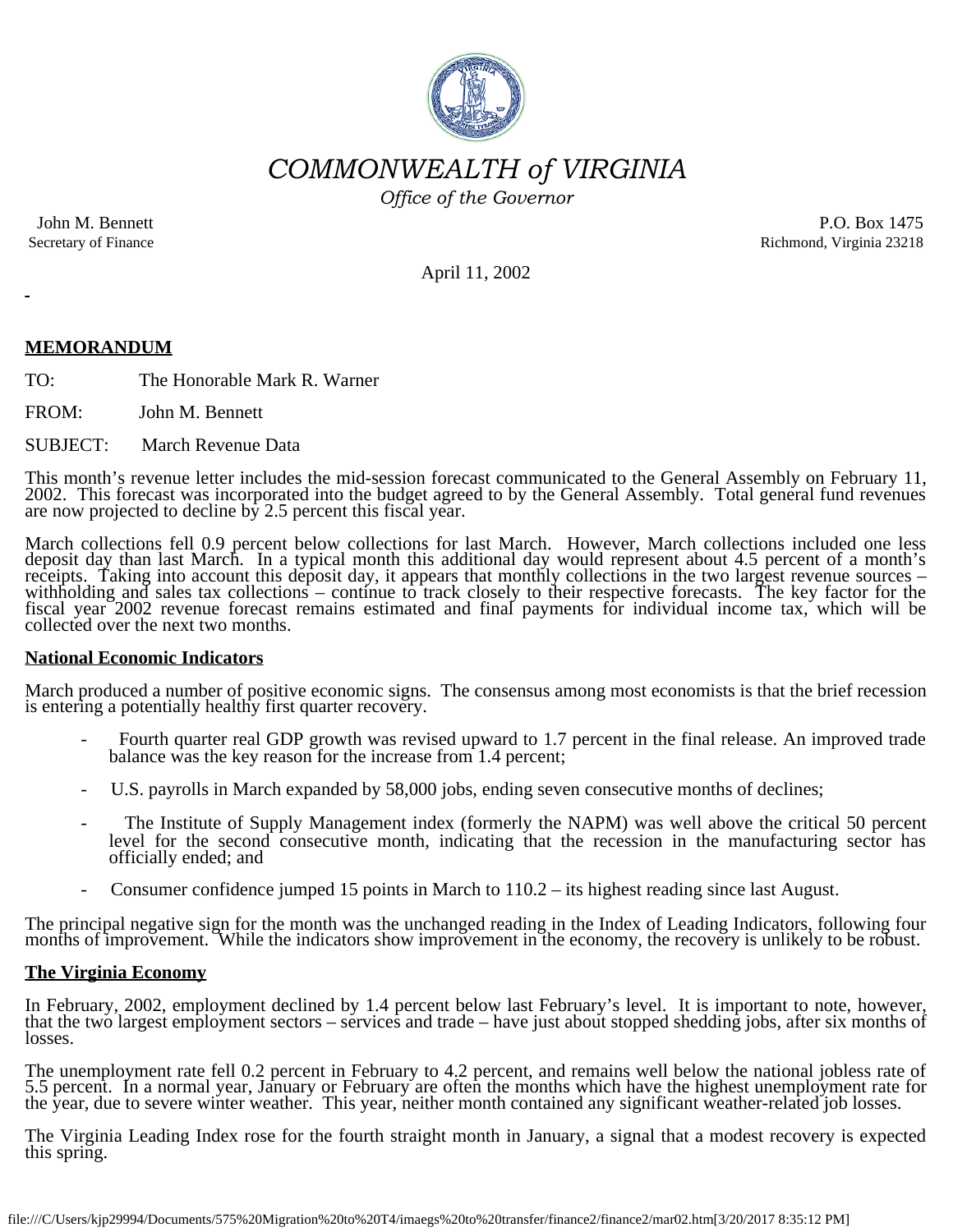

*COMMONWEALTH of VIRGINIA*

*Office of the Governor*

John M. Bennett Secretary of Finance

P.O. Box 1475 Richmond, Virginia 23218

April 11, 2002

# **MEMORANDUM**

TO: The Honorable Mark R. Warner

FROM: John M. Bennett

SUBJECT: March Revenue Data

This month's revenue letter includes the mid-session forecast communicated to the General Assembly on February 11, 2002. This forecast was incorporated into the budget agreed to by the General Assembly. Total general fund

March collections fell 0.9 percent below collections for last March. However, March collections included one less deposit day than last March. In a typical month this additional day would represent about 4.5 percent of a month's receipts. Taking into account this deposit day, it appears that monthly collections in the two largest reve fiscal year 2002 revenue forecast remains estimated and final payments for individual income tax, which will be collected over the next two months.

### **National Economic Indicators**

March produced a number of positive economic signs. The consensus among most economists is that the brief recession is entering a potentially healthy first quarter recovery.

- Fourth quarter real GDP growth was revised upward to 1.7 percent in the final release. An improved trade balance was the key reason for the increase from 1.4 percent;
- U.S. payrolls in March expanded by 58,000 jobs, ending seven consecutive months of declines;
- The Institute of Supply Management index (formerly the NAPM) was well above the critical 50 percent level for the second consecutive month, indicating that the recession in the manufacturing sector has officially ended; and
- Consumer confidence jumped 15 points in March to 110.2 its highest reading since last August.

The principal negative sign for the month was the unchanged reading in the Index of Leading Indicators, following four months of improvement. While the indicators show improvement in the economy, the recovery is unlikely t

### **The Virginia Economy**

In February, 2002, employment declined by 1.4 percent below last February's level. It is important to note, however, that the two largest employment sectors – services and trade – have just about stopped shedding jobs, after six months of losses.

The unemployment rate fell 0.2 percent in February to 4.2 percent, and remains well below the national jobless rate of 5.5 percent. In a normal year, January or February are often the months which have the highest unemploy

The Virginia Leading Index rose for the fourth straight month in January, a signal that a modest recovery is expected this spring.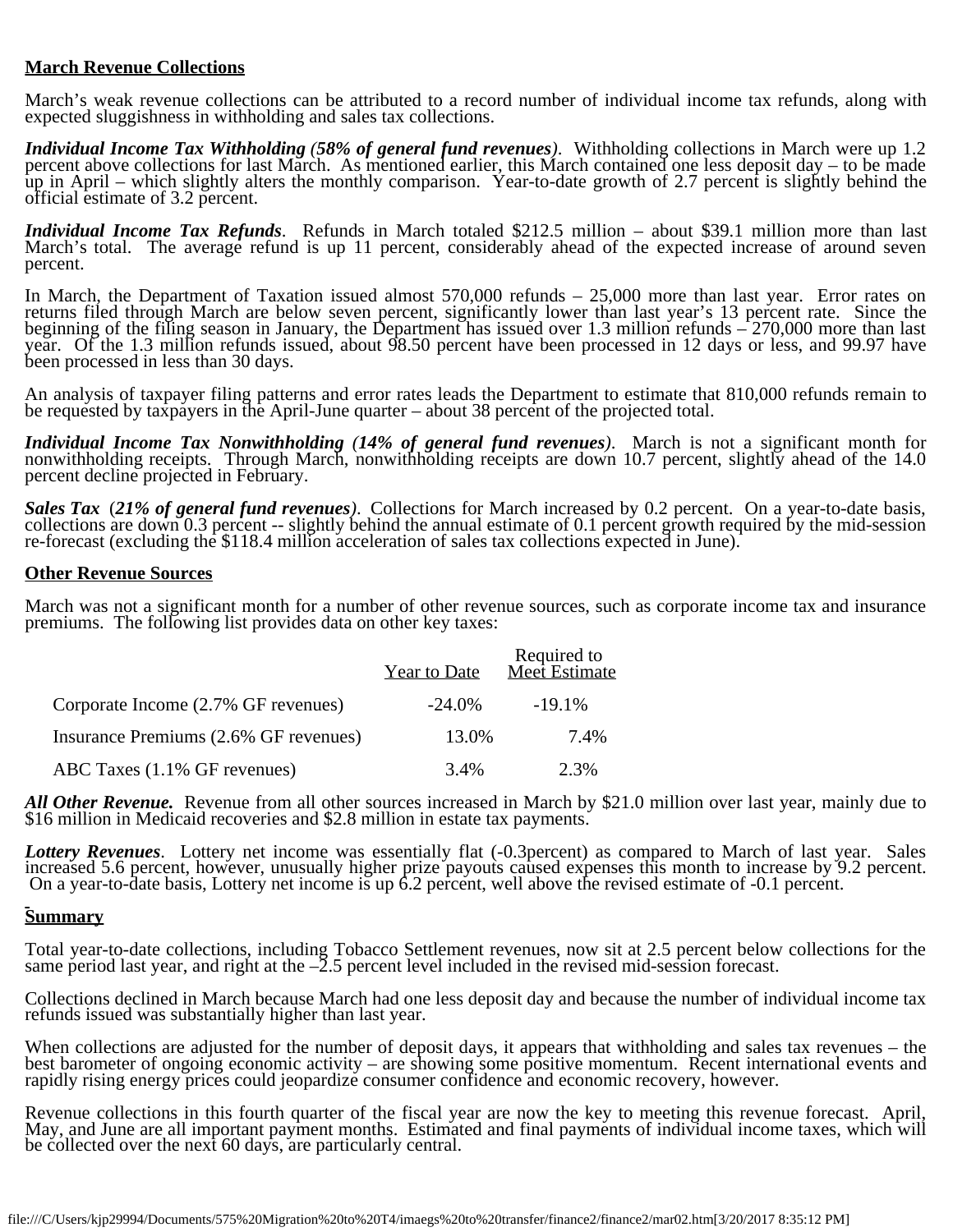### **March Revenue Collections**

March's weak revenue collections can be attributed to a record number of individual income tax refunds, along with expected sluggishness in withholding and sales tax collections.

*Individual Income Tax Withholding (58% of general fund revenues)*. Withholding collections in March were up 1.2 percent above collections for last March. As mentioned earlier, this March contained one less deposit day – t up in April – which slightly alters the monthly comparison. Year-to-date growth of 2.7 percent is slightly behind the official estimate of 3.2 percent.

*Individual Income Tax Refunds*. Refunds in March totaled \$212.5 million – about \$39.1 million more than last March's total. The average refund is up 11 percent, considerably ahead of the expected increase of around seven percent.

In March, the Department of Taxation issued almost 570,000 refunds – 25,000 more than last year. Error rates on returns filed through March are below seven percent, significantly lower than last year's 13 percent rate. Since the beginning of the filing season in January, the Department has issued over 1.3 million refunds – 270,000 more than last year. Of the 1.3 million refunds issued, about 98.50 percent have been processed in 12 days or less, and 99.97 have been processed in less than 30 days.

An analysis of taxpayer filing patterns and error rates leads the Department to estimate that 810,000 refunds remain to be requested by taxpayers in the April-June quarter – about 38 percent of the projected total.

*Individual Income Tax Nonwithholding (14% of general fund revenues)*. March is not a significant month for nonwithholding receipts. Through March, nonwithholding receipts are down 10.7 percent, slightly ahead of the 14.0

Sales Tax (21% of general fund revenues). Collections for March increased by 0.2 percent. On a year-to-date basis, collections are down 0.3 percent -- slightly behind the annual estimate of 0.1 percent growth required by

### **Other Revenue Sources**

March was not a significant month for a number of other revenue sources, such as corporate income tax and insurance premiums. The following list provides data on other key taxes:

|                                       | <b>Year to Date</b> | Required to<br>Meet Estimate |
|---------------------------------------|---------------------|------------------------------|
| Corporate Income (2.7% GF revenues)   | -24.0%              | $-19.1\%$                    |
| Insurance Premiums (2.6% GF revenues) | 13.0%               | 7.4%                         |
| ABC Taxes (1.1% GF revenues)          | 3.4%                | 2.3%                         |

All *Other Revenue*. Revenue from all other sources increased in March by \$21.0 million over last year, mainly due to \$16 million in Medicaid recoveries and \$2.8 million in estate tax payments.

*Lottery Revenues*. Lottery net income was essentially flat (-0.3percent) as compared to March of last year. Sales increased 5.6 percent, however, unusually higher prize payouts caused expenses this month to increase by 9.2 percent.<br>On a year-to-date basis, Lottery net income is up 6.2 percent, well above the revised estimate of -0.1 p

## **Summary**

Total year-to-date collections, including Tobacco Settlement revenues, now sit at 2.5 percent below collections for the same period last year, and right at the –2.5 percent level included in the revised mid-session forecast.

Collections declined in March because March had one less deposit day and because the number of individual income tax refunds issued was substantially higher than last year.

When collections are adjusted for the number of deposit days, it appears that withholding and sales tax revenues – the best barometer of ongoing economic activity – are showing some positive momentum. Recent international events and rapidly rising energy prices could jeopardize consumer confidence and economic recovery, however.

Revenue collections in this fourth quarter of the fiscal year are now the key to meeting this revenue forecast. April, May, and June are all important payment months. Estimated and final payments of individual income taxes be collected over the next 60 days, are particularly central.